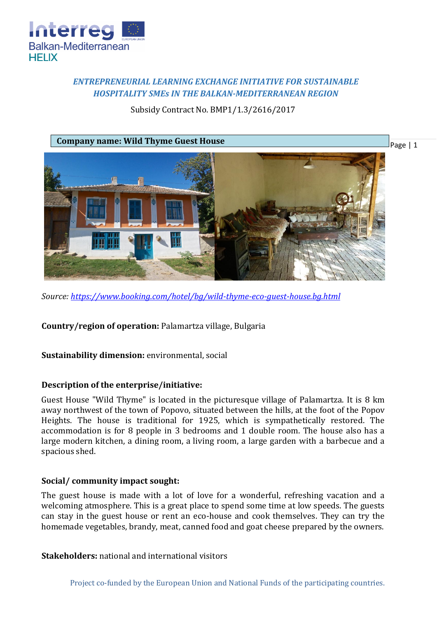

# *ENTREPRENEURIAL LEARNING EXCHANGE INITIATIVE FOR SUSTAINABLE HOSPITALITY SMEs IN THE BALKAN-MEDITERRANEAN REGION*

## Subsidy Contract No. BMP1/1.3/2616/2017



*Source:<https://www.booking.com/hotel/bg/wild-thyme-eco-guest-house.bg.html>*

**Country/region of operation:** Palamartza village, Bulgaria

**Sustainability dimension:** environmental, social

#### **Description of the enterprise/initiative:**

Guest House "Wild Thyme" is located in the picturesque village of Palamartza. It is 8 km away northwest of the town of Popovo, situated between the hills, at the foot of the Popov Heights. The house is traditional for 1925, which is sympathetically restored. The accommodation is for 8 people in 3 bedrooms and 1 double room. The house also has a large modern kitchen, a dining room, a living room, a large garden with a barbecue and a spacious shed.

#### **Social/ community impact sought:**

The guest house is made with a lot of love for a wonderful, refreshing vacation and a welcoming atmosphere. This is a great place to spend some time at low speeds. The guests can stay in the guest house or rent an eco-house and cook themselves. They can try the homemade vegetables, brandy, meat, canned food and goat cheese prepared by the owners.

**Stakeholders:** national and international visitors